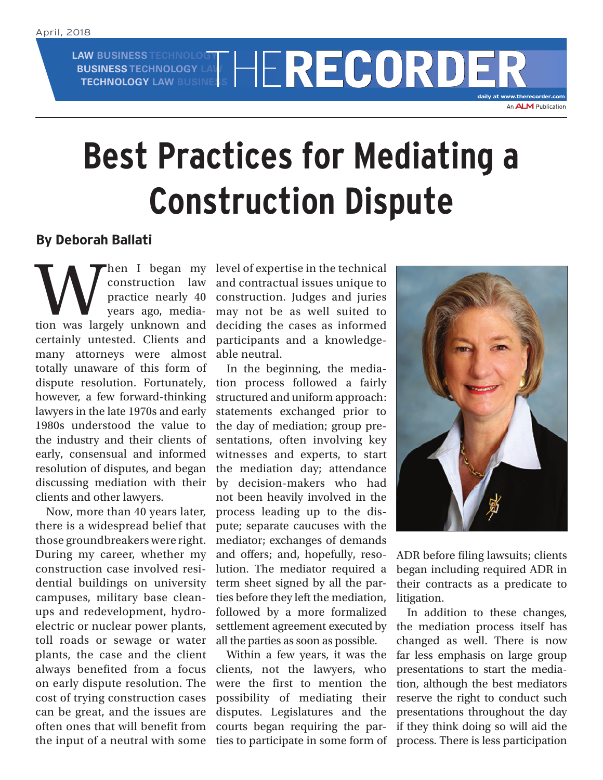**LAW BUSINESS TECHNOLOGY BUSINESS TECHNOLOGY LAW**

**AW BUSINESS TECHNOLOGY LAW RECORDER** 

**daily at www.therecorder.com**

## **Best Practices for Mediating a Construction Dispute**

## **By Deborah Ballati**

When I began my<br>
construction law<br>
practice nearly 40<br>
years ago, media-<br>
tion was largely unknown and construction law practice nearly 40 years ago, mediacertainly untested. Clients and many attorneys were almost totally unaware of this form of dispute resolution. Fortunately, however, a few forward-thinking lawyers in the late 1970s and early 1980s understood the value to the industry and their clients of early, consensual and informed resolution of disputes, and began discussing mediation with their clients and other lawyers.

Now, more than 40 years later, there is a widespread belief that those groundbreakers were right. During my career, whether my construction case involved residential buildings on university campuses, military base cleanups and redevelopment, hydroelectric or nuclear power plants, toll roads or sewage or water plants, the case and the client always benefited from a focus on early dispute resolution. The cost of trying construction cases can be great, and the issues are often ones that will benefit from the input of a neutral with some

level of expertise in the technical and contractual issues unique to construction. Judges and juries may not be as well suited to deciding the cases as informed participants and a knowledgeable neutral.

In the beginning, the mediation process followed a fairly structured and uniform approach: statements exchanged prior to the day of mediation; group presentations, often involving key witnesses and experts, to start the mediation day; attendance by decision-makers who had not been heavily involved in the process leading up to the dispute; separate caucuses with the mediator; exchanges of demands and offers; and, hopefully, resolution. The mediator required a term sheet signed by all the parties before they left the mediation, followed by a more formalized settlement agreement executed by all the parties as soon as possible.

Within a few years, it was the clients, not the lawyers, who were the first to mention the possibility of mediating their disputes. Legislatures and the courts began requiring the parties to participate in some form of



ADR before filing lawsuits; clients began including required ADR in their contracts as a predicate to litigation.

In addition to these changes, the mediation process itself has changed as well. There is now far less emphasis on large group presentations to start the mediation, although the best mediators reserve the right to conduct such presentations throughout the day if they think doing so will aid the process. There is less participation